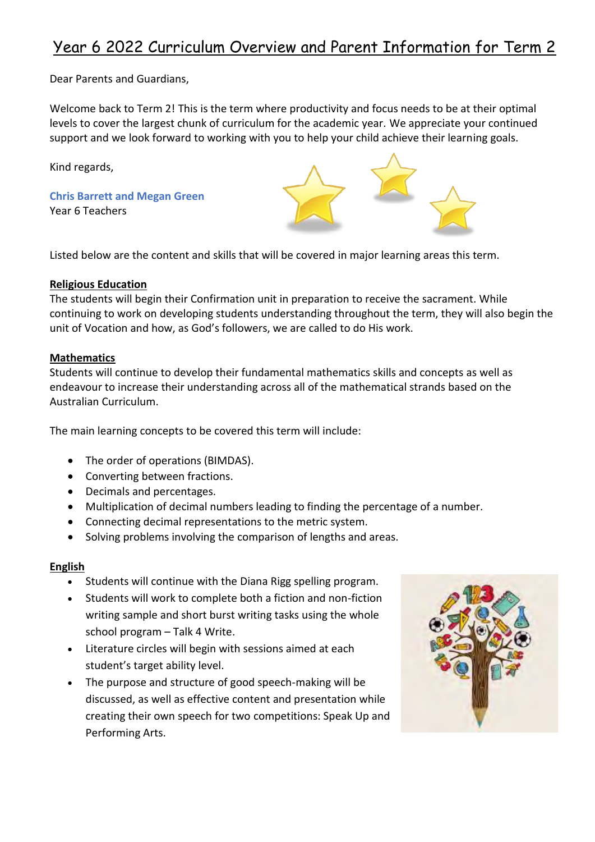Dear Parents and Guardians,

Welcome back to Term 2! This is the term where productivity and focus needs to be at their optimal levels to cover the largest chunk of curriculum for the academic year. We appreciate your continued support and we look forward to working with you to help your child achieve their learning goals.

Kind regards,

**Chris Barrett and Megan Green** Year 6 Teachers

Listed below are the content and skills that will be covered in major learning areas this term.

### **Religious Education**

The students will begin their Confirmation unit in preparation to receive the sacrament. While continuing to work on developing students understanding throughout the term, they will also begin the unit of Vocation and how, as God's followers, we are called to do His work.

#### **Mathematics**

Students will continue to develop their fundamental mathematics skills and concepts as well as endeavour to increase their understanding across all of the mathematical strands based on the Australian Curriculum.

The main learning concepts to be covered this term will include:

- The order of operations (BIMDAS).
- Converting between fractions.
- Decimals and percentages.
- Multiplication of decimal numbers leading to finding the percentage of a number.
- Connecting decimal representations to the metric system.
- Solving problems involving the comparison of lengths and areas.

### **English**

- Students will continue with the Diana Rigg spelling program.
- Students will work to complete both a fiction and non-fiction writing sample and short burst writing tasks using the whole school program – Talk 4 Write.
- Literature circles will begin with sessions aimed at each student's target ability level.
- The purpose and structure of good speech-making will be discussed, as well as effective content and presentation while creating their own speech for two competitions: Speak Up and Performing Arts.